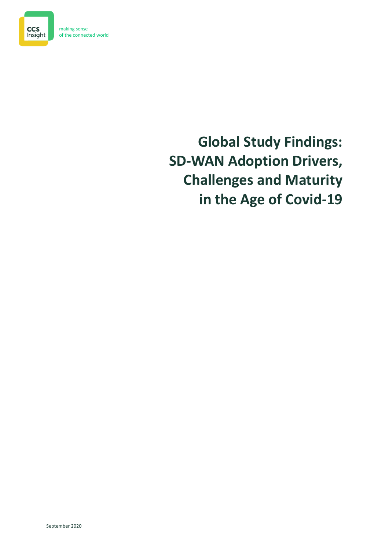

making sense of the connected world

# **Global Study Findings: SD-WAN Adoption Drivers, Challenges and Maturity in the Age of Covid-19**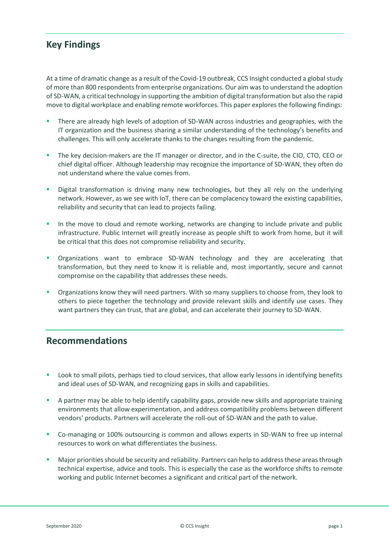# **Key Findings**

At a time of dramatic change as a result of the Covid-19 outbreak, CCS Insight conducted a global study of more than 800 respondents from enterprise organizations. Our aim was to understand the adoption of SD-WAN, a critical technology in supporting the ambition of digital transformation but also the rapid move to digital workplace and enabling remote workforces. This paper explores the following findings:

- There are already high levels of adoption of SD-WAN across industries and geographies, with the IT organization and the business sharing a similar understanding of the technology's benefits and challenges. This will only accelerate thanks to the changes resulting from the pandemic.
- The key decision-makers are the IT manager or director, and in the C-suite, the CIO, CTO, CEO or chief digital officer. Although leadership may recognize the importance of SD-WAN, they often do not understand where the value comes from.
- Digital transformation is driving many new technologies, but they all rely on the underlying network. However, as we see with IoT, there can be complacency toward the existing capabilities, reliability and security that can lead to projects failing.
- In the move to cloud and remote working, networks are changing to include private and public infrastructure. Public Internet will greatly increase as people shift to work from home, but it will be critical that this does not compromise reliability and security.
- Organizations want to embrace SD-WAN technology and they are accelerating that transformation, but they need to know it is reliable and, most importantly, secure and cannot compromise on the capability that addresses these needs.
- Organizations know they will need partners. With so many suppliers to choose from, they look to others to piece together the technology and provide relevant skills and identify use cases. They want partners they can trust, that are global, and can accelerate their journey to SD-WAN.

# **Recommendations**

- **•** Look to small pilots, perhaps tied to cloud services, that allow early lessons in identifying benefits and ideal uses of SD-WAN, and recognizing gaps in skills and capabilities.
- A partner may be able to help identify capability gaps, provide new skills and appropriate training environments that allow experimentation, and address compatibility problems between different vendors' products. Partners will accelerate the roll-out of SD-WAN and the path to value.
- Co-managing or 100% outsourcing is common and allows experts in SD-WAN to free up internal resources to work on what differentiates the business.
- Major priorities should be security and reliability. Partners can help to address these areas through technical expertise, advice and tools. This is especially the case as the workforce shifts to remote working and public Internet becomes a significant and critical part of the network.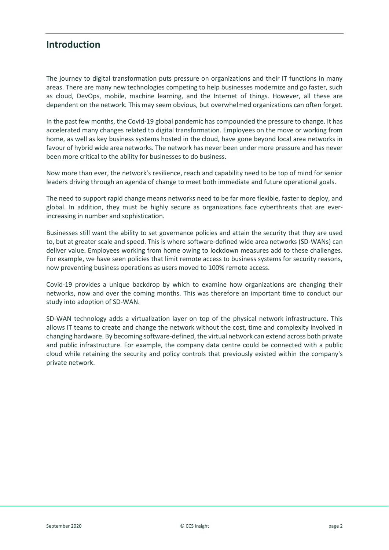## **Introduction**

The journey to digital transformation puts pressure on organizations and their IT functions in many areas. There are many new technologies competing to help businesses modernize and go faster, such as cloud, DevOps, mobile, machine learning, and the Internet of things. However, all these are dependent on the network. This may seem obvious, but overwhelmed organizations can often forget.

In the past few months, the Covid-19 global pandemic has compounded the pressure to change. It has accelerated many changes related to digital transformation. Employees on the move or working from home, as well as key business systems hosted in the cloud, have gone beyond local area networks in favour of hybrid wide area networks. The network has never been under more pressure and has never been more critical to the ability for businesses to do business.

Now more than ever, the network's resilience, reach and capability need to be top of mind for senior leaders driving through an agenda of change to meet both immediate and future operational goals.

The need to support rapid change means networks need to be far more flexible, faster to deploy, and global. In addition, they must be highly secure as organizations face cyberthreats that are everincreasing in number and sophistication.

Businesses still want the ability to set governance policies and attain the security that they are used to, but at greater scale and speed. This is where software-defined wide area networks (SD-WANs) can deliver value. Employees working from home owing to lockdown measures add to these challenges. For example, we have seen policies that limit remote access to business systems for security reasons, now preventing business operations as users moved to 100% remote access.

Covid-19 provides a unique backdrop by which to examine how organizations are changing their networks, now and over the coming months. This was therefore an important time to conduct our study into adoption of SD-WAN.

SD-WAN technology adds a virtualization layer on top of the physical network infrastructure. This allows IT teams to create and change the network without the cost, time and complexity involved in changing hardware. By becoming software-defined, the virtual network can extend across both private and public infrastructure. For example, the company data centre could be connected with a public cloud while retaining the security and policy controls that previously existed within the company's private network.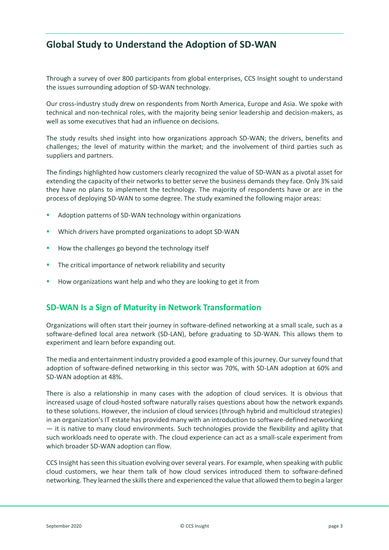# **Global Study to Understand the Adoption of SD-WAN**

Through a survey of over 800 participants from global enterprises, CCS Insight sought to understand the issues surrounding adoption of SD-WAN technology.

Our cross-industry study drew on respondents from North America, Europe and Asia. We spoke with technical and non-technical roles, with the majority being senior leadership and decision-makers, as well as some executives that had an influence on decisions.

The study results shed insight into how organizations approach SD-WAN; the drivers, benefits and challenges; the level of maturity within the market; and the involvement of third parties such as suppliers and partners.

The findings highlighted how customers clearly recognized the value of SD-WAN as a pivotal asset for extending the capacity of their networks to better serve the business demands they face. Only 3% said they have no plans to implement the technology. The majority of respondents have or are in the process of deploying SD-WAN to some degree. The study examined the following major areas:

- Adoption patterns of SD-WAN technology within organizations
- Which drivers have prompted organizations to adopt SD-WAN
- How the challenges go beyond the technology itself
- The critical importance of network reliability and security
- How organizations want help and who they are looking to get it from

## **SD-WAN Is a Sign of Maturity in Network Transformation**

Organizations will often start their journey in software-defined networking at a small scale, such as a software-defined local area network (SD-LAN), before graduating to SD-WAN. This allows them to experiment and learn before expanding out.

The media and entertainment industry provided a good example of this journey. Our survey found that adoption of software-defined networking in this sector was 70%, with SD-LAN adoption at 60% and SD-WAN adoption at 48%.

There is also a relationship in many cases with the adoption of cloud services. It is obvious that increased usage of cloud-hosted software naturally raises questions about how the network expands to these solutions. However, the inclusion of cloud services (through hybrid and multicloud strategies) in an organization's IT estate has provided many with an introduction to software-defined networking — it is native to many cloud environments. Such technologies provide the flexibility and agility that such workloads need to operate with. The cloud experience can act as a small-scale experiment from which broader SD-WAN adoption can flow.

CCS Insight has seen this situation evolving over several years. For example, when speaking with public cloud customers, we hear them talk of how cloud services introduced them to software-defined networking. They learned the skills there and experienced the value that allowed them to begin a larger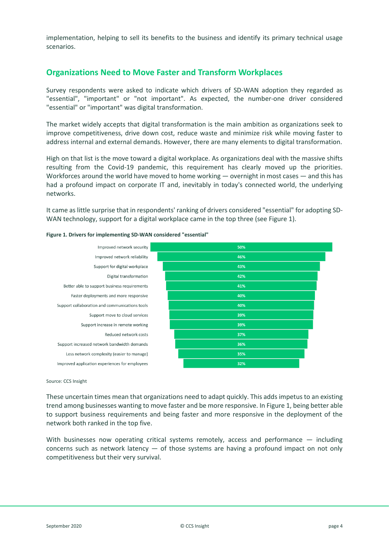implementation, helping to sell its benefits to the business and identify its primary technical usage scenarios.

## **Organizations Need to Move Faster and Transform Workplaces**

Survey respondents were asked to indicate which drivers of SD-WAN adoption they regarded as "essential", "important" or "not important". As expected, the number-one driver considered "essential" or "important" was digital transformation.

The market widely accepts that digital transformation is the main ambition as organizations seek to improve competitiveness, drive down cost, reduce waste and minimize risk while moving faster to address internal and external demands. However, there are many elements to digital transformation.

High on that list is the move toward a digital workplace. As organizations deal with the massive shifts resulting from the Covid-19 pandemic, this requirement has clearly moved up the priorities. Workforces around the world have moved to home working ― overnight in most cases ― and this has had a profound impact on corporate IT and, inevitably in today's connected world, the underlying networks.

It came as little surprise that in respondents' ranking of drivers considered "essential" for adopting SD-WAN technology, support for a digital workplace came in the top three (see Figure 1).

| Improved network security                      | 50% |
|------------------------------------------------|-----|
| Improved network reliability                   | 46% |
| Support for digital workplace                  | 43% |
| Digital transformation                         | 42% |
| Better able to support business requirements   | 41% |
| Faster deployments and more responsive         | 40% |
| Support collaboration and communications tools | 40% |
| Support move to cloud services                 | 39% |
| Support increase in remote working             | 39% |
| Reduced network costs                          | 37% |
| Support increased network bandwidth demands    | 36% |
| Less network complexity (easier to manage)     | 35% |
| Improved application experiences for employees | 32% |
|                                                |     |

#### **Figure 1. Drivers for implementing SD-WAN considered "essential"**

### Source: CCS Insight

These uncertain times mean that organizations need to adapt quickly. This adds impetus to an existing trend among businesses wanting to move faster and be more responsive. In Figure 1, being better able to support business requirements and being faster and more responsive in the deployment of the network both ranked in the top five.

With businesses now operating critical systems remotely, access and performance  $-$  including concerns such as network latency  $-$  of those systems are having a profound impact on not only competitiveness but their very survival.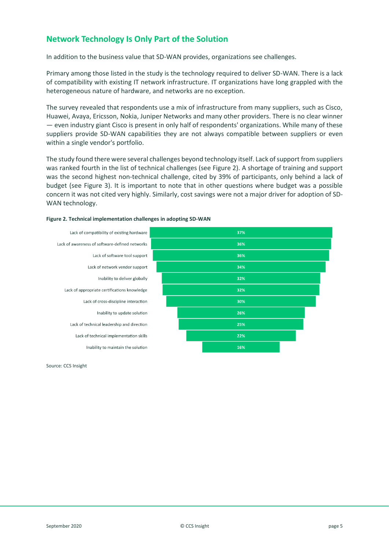## **Network Technology Is Only Part of the Solution**

In addition to the business value that SD-WAN provides, organizations see challenges.

Primary among those listed in the study is the technology required to deliver SD-WAN. There is a lack of compatibility with existing IT network infrastructure. IT organizations have long grappled with the heterogeneous nature of hardware, and networks are no exception.

The survey revealed that respondents use a mix of infrastructure from many suppliers, such as Cisco, Huawei, Avaya, Ericsson, Nokia, Juniper Networks and many other providers. There is no clear winner — even industry giant Cisco is present in only half of respondents' organizations. While many of these suppliers provide SD-WAN capabilities they are not always compatible between suppliers or even within a single vendor's portfolio.

The study found there were several challenges beyond technology itself. Lack of support from suppliers was ranked fourth in the list of technical challenges (see Figure 2). A shortage of training and support was the second highest non-technical challenge, cited by 39% of participants, only behind a lack of budget (see Figure 3). It is important to note that in other questions where budget was a possible concern it was not cited very highly. Similarly, cost savings were not a major driver for adoption of SD-WAN technology.

| 37% |
|-----|
| 36% |
| 36% |
| 34% |
| 32% |
| 32% |
| 30% |
| 26% |
| 25% |
| 22% |
| 16% |
|     |

#### **Figure 2. Technical implementation challenges in adopting SD-WAN**

Source: CCS Insight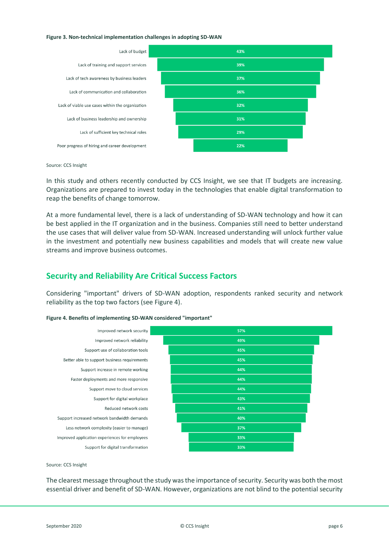#### **Figure 3. Non-technical implementation challenges in adopting SD-WAN**



Source: CCS Insight

In this study and others recently conducted by CCS Insight, we see that IT budgets are increasing. Organizations are prepared to invest today in the technologies that enable digital transformation to reap the benefits of change tomorrow.

At a more fundamental level, there is a lack of understanding of SD-WAN technology and how it can be best applied in the IT organization and in the business. Companies still need to better understand the use cases that will deliver value from SD-WAN. Increased understanding will unlock further value in the investment and potentially new business capabilities and models that will create new value streams and improve business outcomes.

## **Security and Reliability Are Critical Success Factors**

Considering "important" drivers of SD-WAN adoption, respondents ranked security and network reliability as the top two factors (see Figure 4).

| Improved network security                      | 57% |
|------------------------------------------------|-----|
| Improved network reliability                   | 49% |
| Support use of collaboration tools             | 45% |
| Better able to support business requirements   | 45% |
| Support increase in remote working             | 44% |
| Faster deployments and more responsive         | 44% |
| Support move to cloud services                 | 44% |
| Support for digital workplace                  | 43% |
| Reduced network costs                          | 41% |
| Support increased network bandwidth demands    | 40% |
| Less network complexity (easier to manage)     | 37% |
| Improved application experiences for employees | 33% |
| Support for digital transformation             | 33% |
|                                                |     |

#### **Figure 4. Benefits of implementing SD-WAN considered "important"**

Source: CCS Insight

The clearest message throughout the study was the importance of security. Security was both the most essential driver and benefit of SD-WAN. However, organizations are not blind to the potential security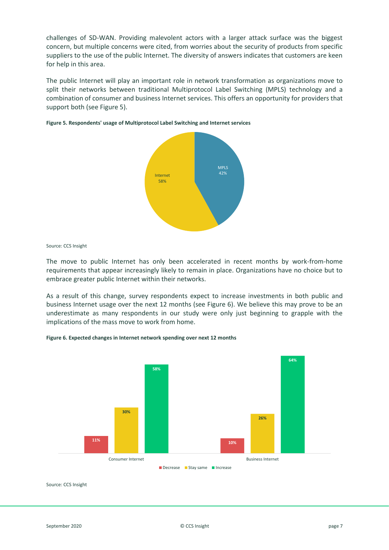challenges of SD-WAN. Providing malevolent actors with a larger attack surface was the biggest concern, but multiple concerns were cited, from worries about the security of products from specific suppliers to the use of the public Internet. The diversity of answers indicates that customers are keen for help in this area.

The public Internet will play an important role in network transformation as organizations move to split their networks between traditional Multiprotocol Label Switching (MPLS) technology and a combination of consumer and business Internet services. This offers an opportunity for providers that support both (see Figure 5).





Source: CCS Insight

The move to public Internet has only been accelerated in recent months by work-from-home requirements that appear increasingly likely to remain in place. Organizations have no choice but to embrace greater public Internet within their networks.

As a result of this change, survey respondents expect to increase investments in both public and business Internet usage over the next 12 months (see Figure 6). We believe this may prove to be an underestimate as many respondents in our study were only just beginning to grapple with the implications of the mass move to work from home.





Source: CCS Insight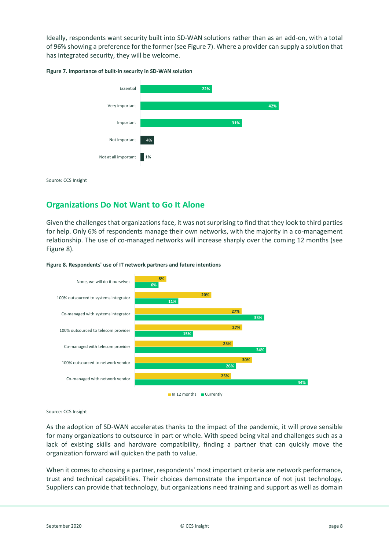Ideally, respondents want security built into SD-WAN solutions rather than as an add-on, with a total of 96% showing a preference for the former (see Figure 7). Where a provider can supply a solution that has integrated security, they will be welcome.

#### **Figure 7. Importance of built-in security in SD-WAN solution**



Source: CCS Insight

## **Organizations Do Not Want to Go It Alone**

Given the challenges that organizations face, it was not surprising to find that they look to third parties for help. Only 6% of respondents manage their own networks, with the majority in a co-management relationship. The use of co-managed networks will increase sharply over the coming 12 months (see Figure 8).





Source: CCS Insight

As the adoption of SD-WAN accelerates thanks to the impact of the pandemic, it will prove sensible for many organizations to outsource in part or whole. With speed being vital and challenges such as a lack of existing skills and hardware compatibility, finding a partner that can quickly move the organization forward will quicken the path to value.

When it comes to choosing a partner, respondents' most important criteria are network performance, trust and technical capabilities. Their choices demonstrate the importance of not just technology. Suppliers can provide that technology, but organizations need training and support as well as domain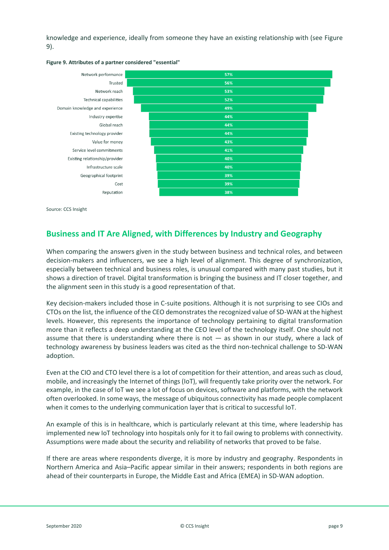knowledge and experience, ideally from someone they have an existing relationship with (see Figure 9).



#### **Figure 9. Attributes of a partner considered "essential"**

Source: CCS Insight

## **Business and IT Are Aligned, with Differences by Industry and Geography**

When comparing the answers given in the study between business and technical roles, and between decision-makers and influencers, we see a high level of alignment. This degree of synchronization, especially between technical and business roles, is unusual compared with many past studies, but it shows a direction of travel. Digital transformation is bringing the business and IT closer together, and the alignment seen in this study is a good representation of that.

Key decision-makers included those in C-suite positions. Although it is not surprising to see CIOs and CTOs on the list, the influence of the CEO demonstrates the recognized value of SD-WAN at the highest levels. However, this represents the importance of technology pertaining to digital transformation more than it reflects a deep understanding at the CEO level of the technology itself. One should not assume that there is understanding where there is not  $-$  as shown in our study, where a lack of technology awareness by business leaders was cited as the third non-technical challenge to SD-WAN adoption.

Even at the CIO and CTO level there is a lot of competition for their attention, and areas such as cloud, mobile, and increasingly the Internet of things (IoT), will frequently take priority over the network. For example, in the case of IoT we see a lot of focus on devices, software and platforms, with the network often overlooked. In some ways, the message of ubiquitous connectivity has made people complacent when it comes to the underlying communication layer that is critical to successful IoT.

An example of this is in healthcare, which is particularly relevant at this time, where leadership has implemented new IoT technology into hospitals only for it to fail owing to problems with connectivity. Assumptions were made about the security and reliability of networks that proved to be false.

If there are areas where respondents diverge, it is more by industry and geography. Respondents in Northern America and Asia–Pacific appear similar in their answers; respondents in both regions are ahead of their counterparts in Europe, the Middle East and Africa (EMEA) in SD-WAN adoption.